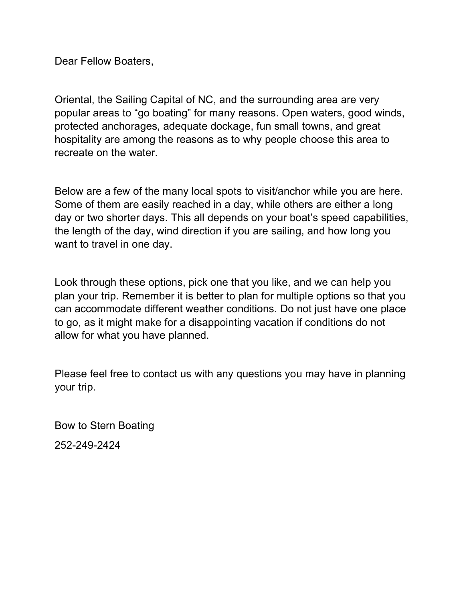Dear Fellow Boaters,

Oriental, the Sailing Capital of NC, and the surrounding area are very popular areas to "go boating" for many reasons. Open waters, good winds, protected anchorages, adequate dockage, fun small towns, and great hospitality are among the reasons as to why people choose this area to recreate on the water.

Below are a few of the many local spots to visit/anchor while you are here. Some of them are easily reached in a day, while others are either a long day or two shorter days. This all depends on your boat's speed capabilities, the length of the day, wind direction if you are sailing, and how long you want to travel in one day.

Look through these options, pick one that you like, and we can help you plan your trip. Remember it is better to plan for multiple options so that you can accommodate different weather conditions. Do not just have one place to go, as it might make for a disappointing vacation if conditions do not allow for what you have planned.

Please feel free to contact us with any questions you may have in planning your trip.

Bow to Stern Boating 252-249-2424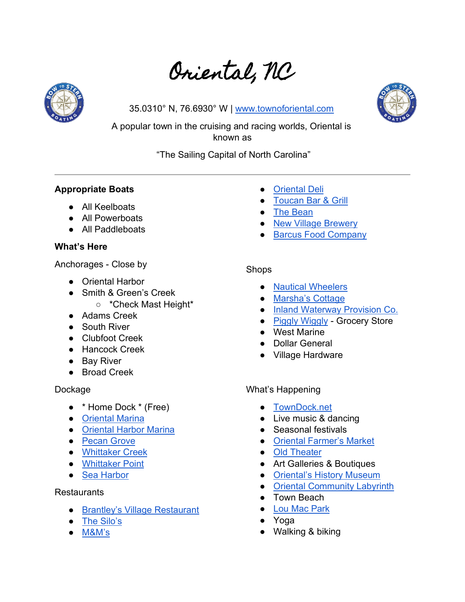# Oriental, NC



35.0310° N, 76.6930° W | [www.townoforiental.com](https://townoforiental.com/)



A popular town in the cruising and racing worlds, Oriental is known as

"The Sailing Capital of North Carolina"

# **Appropriate Boats**

- All Keelboats
- All Powerboats
- All Paddleboats

# **What's Here**

Anchorages - Close by

- Oriental Harbor
- Smith & Green's Creek
	- \*Check Mast Height\*
- Adams Creek
- South River
- Clubfoot Creek
- Hancock Creek
- Bay River
- Broad Creek

# Dockage

- \* Home Dock \* (Free)
- [Oriental Marina](https://orientalmarina.com/)
- [Oriental Harbor Marina](http://www.orientalharbormarina.org/)
- [Pecan Grove](https://pecangrovemarina.com/)
- [Whittaker Creek](https://www.pamlico.com/whittaker-creek-yacht-marina.html)
- [Whittaker Point](https://www.whittakerpointe.com/)
- [Sea Harbor](https://www.seaharbour.org/)

# **Restaurants**

- [Brantley's Village Restaurant](https://www.facebook.com/pages/category/American-Restaurant/Brantleys-Village-Restaurant-538345269540905/)
- [The Silo's](http://www.silosnc.com/)
- M[&M's](https://mmscafeoriental.com/)
- **[Oriental Deli](http://www.orientaldelisubs.com/)**
- **[Toucan Bar & Grill](https://toucangrill.com/)**
- [The Bean](https://www.beanonc.com/)
- [New Village Brewery](https://www.newvillagebrewery.com/)
- [Barcus Food Company](https://www.barcosfoodco.com/)

# Shops

- [Nautical Wheelers](https://nauticalwheelersnc.com/)
- [Marsha's Cottage](https://www.facebook.com/MarshasCottage/)
- [Inland Waterway Provision Co.](https://inlandwaterwayprovisioncompany.com/)
- [Piggly Wiggly](https://www.facebook.com/oriental.piglet/) Grocery Store
- West Marine
- **Dollar General**
- Village Hardware

# What's Happening

- [TownDock.net](http://towndock.net/happening)
- Live music & dancing
- Seasonal festivals
- [Oriental Farmer's Market](https://www.facebook.com/OrientalFarmersMarket/)
- [Old Theater](https://www.oldtheater.org/)
- Art Galleries & Boutiques
- [Oriental's History Museum](https://townoforiental.com/index.asp?SEC=C6020608-E234-4D1B-BA80-AFB207B5C256&Type=B_BASIC)
- Oriental [Community Labyrinth](https://www.facebook.com/orientalcommunitylabyrinth/)
- Town Beach
- [Lou Mac Park](https://www.pamlico.com/lou-mac-park.html)
- Yoga
- Walking & biking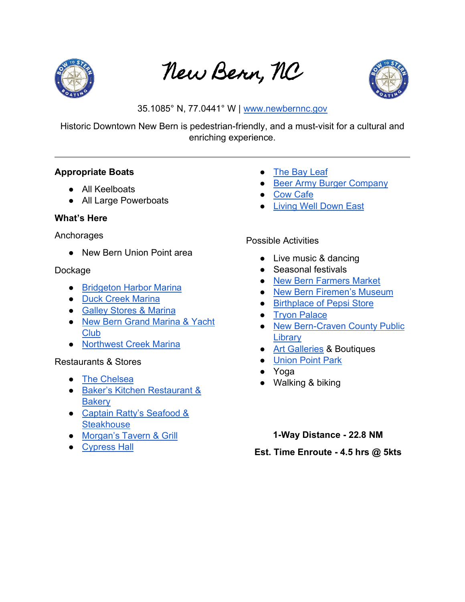

New Bern, NC



35.1085° N, 77.0441° W | [www.newbernnc.gov](https://www.newbernnc.gov/)

Historic Downtown New Bern is pedestrian-friendly, and a must-visit for a cultural and enriching experience.

#### **Appropriate Boats**

- All Keelboats
- All Large Powerboats

# **What's Here**

#### **Anchorages**

● New Bern Union Point area

#### Dockage

- [Bridgeton Harbor Marina](https://www.bridgetonharbormarina.com/)
- [Duck Creek Marina](https://duckcreekmarina.com/)
- [Galley Stores & Marina](https://galleystores.com/)
- New Bern Grand Marina & Yacht [Club](https://www.newberngrandmarinayachtclub.com/)
- [Northwest Creek Marina](https://www.northwestcreekmarina.com/)

# Restaurants & Stores

- [The Chelsea](https://www.thechelsea.com/)
- [Baker's Kitchen Restaurant &](http://bakerskitchennb.com/)  **[Bakery](http://bakerskitchennb.com/)**
- Captain Ratty's Seafood & **[Steakhouse](https://www.captainrattys.com/)**
- [Morgan's Tavern & Grill](http://morganstavernnewbern.com/)
- [Cypress Hall](http://cypresshallrestaurant.com/)
- [The Bay Leaf](https://www.bayleafnewbern.com/)
- [Beer Army Burger Company](https://www.beerarmy.com/)
- [Cow Cafe](https://www.cowcafenewbern.com/)
- [Living Well Down East](https://www.livingwelldowneast.com/)

#### Possible Activities

- Live music & dancing
- Seasonal festivals
- [New Bern Farmers Market](http://newbernfarmersmarket.org/)
- [New Bern Firemen's Museum](https://www.firemensmuseum.com/)
- [Birthplace of Pepsi Store](http://www.pepsistore.com/)
- [Tryon Palace](https://www.tryonpalace.org/)
- [New Bern-Craven County Public](http://newbern.cpclib.org/)  **[Library](http://newbern.cpclib.org/)**
- [Art Galleries](https://www.cravenarts.org/artwalk.html) & Boutiques
- [Union Point Park](https://www.newbern.com/union-point-park.html)
- Yoga
- Walking & biking
	- **1-Way Distance - 22.8 NM**

**Est. Time Enroute - 4.5 hrs @ 5kts**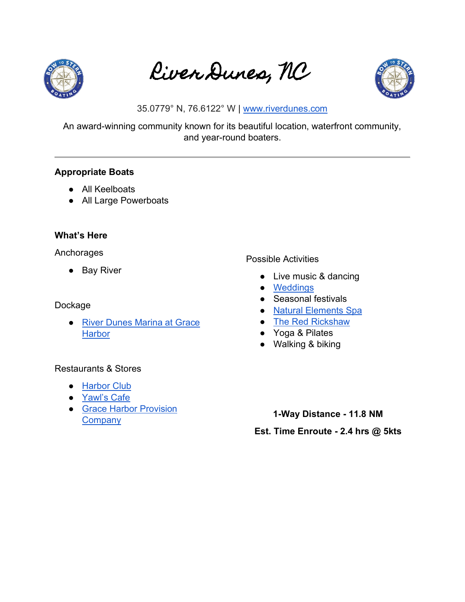

River Dunes, NC



35.0779° N, 76.6122° W | [www.riverdunes.com](https://riverdunes.com/)

An award-winning community known for its beautiful location, waterfront community, and year-round boaters.

#### **Appropriate Boats**

- All Keelboats
- All Large Powerboats

#### **What's Here**

Anchorages

● Bay River

#### Dockage

● River Dunes Marina at Grace **[Harbor](https://riverdunes.com/graceharbor/dockage)** 

#### Restaurants & Stores

- [Harbor Club](https://riverdunes.com/graceharbor/club)
- [Yawl's Cafe](https://riverdunes.com/community/amenities/yawlscafe)
- Grace Harbor Provision **[Company](https://riverdunes.com/community/amenities/provisions)**

# Possible Activities

- Live music & dancing
- [Weddings](http://www.riverdunesweddings.com/)
- Seasonal festivals
- [Natural Elements Spa](https://riverdunes.com/community/amenities/spa)
- [The Red Rickshaw](https://riverdunes.com/community/amenities/redrickshaw)
- Yoga & Pilates
- Walking & biking
- **1-Way Distance - 11.8 NM Est. Time Enroute - 2.4 hrs @ 5kts**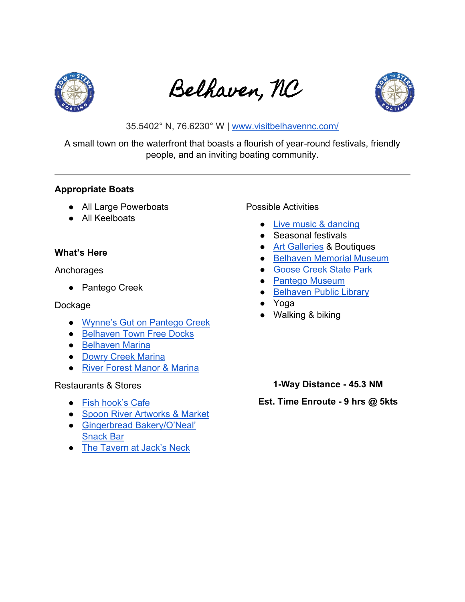

Belhaven, NC



35.5402° N, 76.6230° W | [www.visitbelhavennc.com/](https://visitbelhavennc.com/)

A small town on the waterfront that boasts a flourish of year-round festivals, friendly people, and an inviting boating community.

#### **Appropriate Boats**

- All Large Powerboats
- All Keelboats

# **What's Here**

Anchorages

● Pantego Creek

#### Dockage

- [Wynne's Gut on Pantego Creek](https://marinas.com/view/marina/4qc1gwn_Belhaven_Town_Docks_at_Wynnes_Gut_Belhaven_NC_United_States)
- [Belhaven Town Free Docks](http://www.townofbelhaven.com/community/pages/town-dock)
- [Belhaven Marina](http://www.belhavenmarina.com/)
- [Dowry Creek Marina](https://www.dowrycreekmarina.com/)
- [River Forest Manor & Marina](https://www.riverforestmanor.com/marina/)

# Restaurants & Stores

- [Fish hook's Cafe](https://visitbelhavennc.com/venue/fish-hooks-cafe/)
- [Spoon River Artworks & Market](https://visitbelhavennc.com/venue/spoon-river-artworks-market-2/)
- [Gingerbread Bakery/O'Neal'](https://visitbelhavennc.com/venue/gingerbread-bakery-oneal-snack-bar/)  [Snack Bar](https://visitbelhavennc.com/venue/gingerbread-bakery-oneal-snack-bar/)
- [The Tavern at Jack's Neck](https://visitbelhavennc.com/venue/the-tavern-at-jacks-neck/)

# Possible Activities

- [Live music & dancing](https://visitbelhavennc.com/play/)
- Seasonal festivals
- [Art Galleries](https://www.artsofthepamlico.org/) & Boutiques
- [Belhaven Memorial Museum](https://visitbelhavennc.com/venue/belhaven-memorial-museum-2/)
- [Goose Creek State Park](https://visitbelhavennc.com/venue/goose-creek-state-park-2/)
- [Pantego Museum](https://visitbelhavennc.com/venue/pantego-museum/)
- [Belhaven Public Library](https://bhmlib.org/belhaven/)
- Yoga
- Walking & biking
	- **1-Way Distance - 45.3 NM**

#### **Est. Time Enroute - 9 hrs @ 5kts**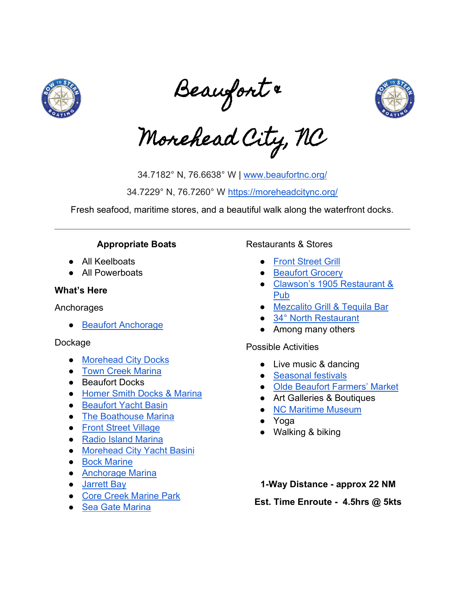

Beaufort &



Morehead City, NC

34.7182° N, 76.6638° W | [www.beaufortnc.org/](https://www.beaufortnc.org/) 34.7229° N, 76.7260° W<https://moreheadcitync.org/>

Fresh seafood, maritime stores, and a beautiful walk along the waterfront docks.

# **Appropriate Boats**

- All Keelboats
- All Powerboats

#### **What's Here**

Anchorages

● [Beaufort Anchorage](https://marinas.com/view/anchorage/lgf7g_Beaufort_Anchorage_Beaufort_NC_United_States)

#### Dockage

- [Morehead City Docks](https://moreheadcitync.org/314/Docking-Facilities)
- [Town Creek](http://www.towncreekmarina.com/) Marina
- Beaufort Docks
- [Homer Smith Docks & Marina](http://www.homersmithdocksandmarina.com/)
- [Beaufort Yacht Basin](http://www.beaufortyachtbasin.com/)
- [The Boathouse Marina](https://www.boathousemarinanc.com/)
- [Front Street Village](https://frontstreetvillage.com/)
- [Radio Island Marina](https://radioislandmarina.com/?utm_source=NEXT&utm_medium=Google_website)
- [Morehead City Yacht Basini](http://www.mcyachtbasin.com/)
- [Bock Marine](http://bockmarine.com/)
- [Anchorage Marina](http://www.anchoragemarina.net/)
- [Jarrett Bay](https://www.jarrettbay.com/facilities/marina-fuel/)
- [Core Creek Marine Park](http://www.corecreekmarinepark.com/)
- [Sea Gate Marina](http://www.seagatenews.com/)

#### Restaurants & Stores

- **[Front Street Grill](http://frontstreetgrillatstillwater.com/)**
- [Beaufort Grocery](http://www.beaufortgrocery.com/)
- [Clawson's 1905 Restaurant &](http://clawsonsrestaurant.com/)  [Pub](http://clawsonsrestaurant.com/)
- [Mezcalito Grill & Tequila Bar](http://www.mezcalitogrill.com/)
- [34°](https://www.34degreesnorthrestaurant.com/) [North Restaurant](https://www.34degreesnorthrestaurant.com/)
- Among many others

#### Possible Activities

- Live music & dancing
- [Seasonal festivals](https://www.beaufortnc.org/events/page/annual-events)
- [Olde Beaufort Farmers' Market](http://oldebeaufortfarmersmarket.org/)
- Art Galleries & Boutiques
- [NC Maritime Museum](https://ncmaritimemuseumbeaufort.com/)
- Yoga
- Walking & biking

**1-Way Distance - approx 22 NM** 

**Est. Time Enroute - 4.5hrs @ 5kts**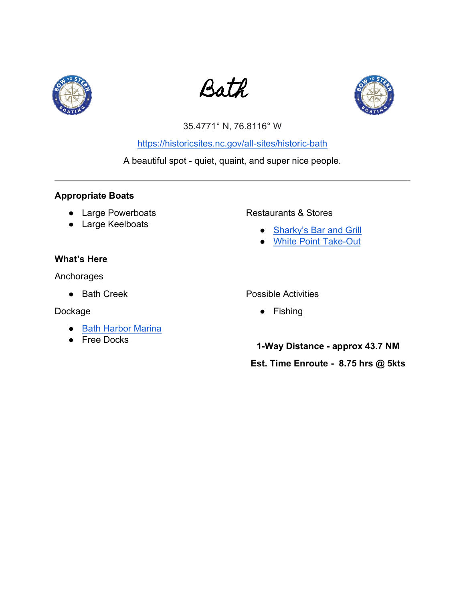





# 35.4771° N, 76.8116° W

<https://historicsites.nc.gov/all-sites/historic-bath>

A beautiful spot - quiet, quaint, and super nice people.

# **Appropriate Boats**

- Large Powerboats
- Large Keelboats

# **What's Here**

Anchorages

● Bath Creek

Dockage

- [Bath Harbor Marina](https://www.bathharbornc.com/)
- Free Docks

# Restaurants & Stores

- [Sharky's Bar and Grill](https://cedarislandresort.com/dt_gallery/sharkys-bar-grill/?v=2e5df5aa3470#contact)
- [White Point Take-Out](http://white-point-take-out.poi.place/)

#### Possible Activities

● Fishing

**1-Way Distance - approx 43.7 NM** 

# **Est. Time Enroute - 8.75 hrs @ 5kts**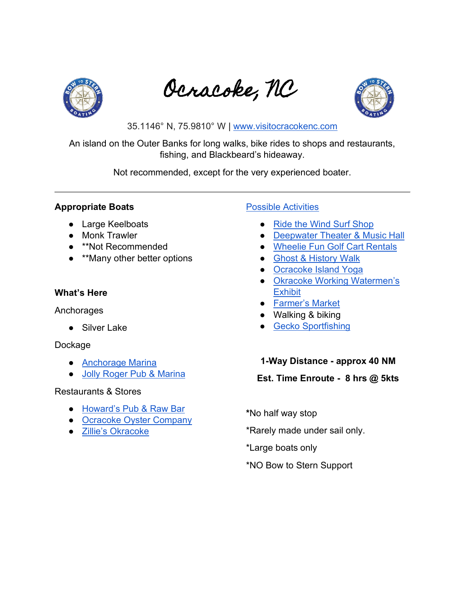

Ocracoke, NC



35.1146° N, 75.9810° W | [www.visitocracokenc.com](https://www.visitocracokenc.com/)

An island on the Outer Banks for long walks, bike rides to shops and restaurants, fishing, and Blackbeard's hideaway.

Not recommended, except for the very experienced boater.

# **Appropriate Boats**

- Large Keelboats
- Monk Trawler
- \*\*Not Recommended
- **\*\*Many other better options**

# **What's Here**

#### Anchorages

● Silver Lake

# Dockage

- [Anchorage Marina](http://www.theanchorageinn.com/)
- [Jolly Roger Pub & Marina](http://jollyrogerocracoke.com/)

# Restaurants & Stores

- [Howard's Pub & Raw Bar](https://www.howardspub.com/Home)
- [Ocracoke Oyster Company](http://www.ocracokeoystercompany.com/)
- [Zillie's Okracoke](http://www.zillies.com/)

# [Possible Activities](https://business.visitocracokenc.com/list/ql/things-to-do-7)

- [Ride the Wind Surf Shop](http://www.surfocracoke.com/)
- [Deepwater Theater & Music Hall](http://www.ocracokealive.org/)
- [Wheelie Fun Golf Cart Rentals](http://wheeliefunocracoke.com/)
- [Ghost & History Walk](https://www.villagecraftsmen.com/ghostwalk/)
- [Ocracoke Island Yoga](https://www.facebook.com/ocracokeyoga/)
- Okra[coke Working Watermen's](http://www.ocracokewatermen.org/)  **[Exhibit](http://www.ocracokewatermen.org/)**
- [Farmer's Market](https://www.facebook.com/pages/category/Farmers-Market/Ocracoke-Farmers-Market-364269920444943/)
- Walking & biking
- [Gecko Sportfishing](http://www.geckosportfishing.com/)

# **1-Way Distance - approx 40 NM**

# **Est. Time Enroute - 8 hrs @ 5kts**

**\***No half way stop

\*Rarely made under sail only.

\*Large boats only

\*NO Bow to Stern Support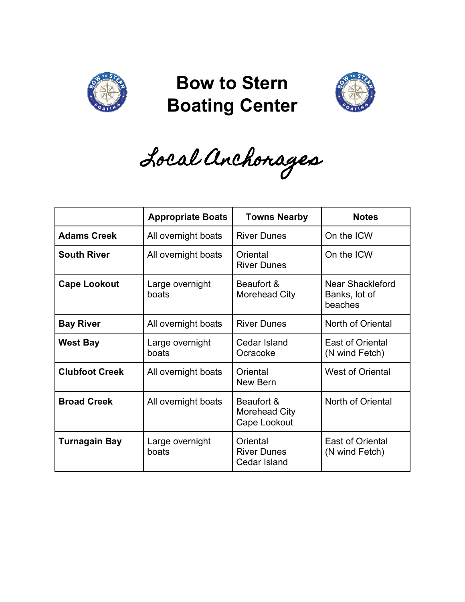

# **Bow to Stern Boating Center**



Local Anchorages

|                       | <b>Appropriate Boats</b> | <b>Towns Nearby</b>                                   | <b>Notes</b>                                 |
|-----------------------|--------------------------|-------------------------------------------------------|----------------------------------------------|
| <b>Adams Creek</b>    | All overnight boats      | <b>River Dunes</b>                                    | On the ICW                                   |
| <b>South River</b>    | All overnight boats      | Oriental<br><b>River Dunes</b>                        | On the ICW                                   |
| <b>Cape Lookout</b>   | Large overnight<br>boats | Beaufort &<br>Morehead City                           | Near Shackleford<br>Banks, lot of<br>beaches |
| <b>Bay River</b>      | All overnight boats      | <b>River Dunes</b>                                    | North of Oriental                            |
| <b>West Bay</b>       | Large overnight<br>boats | <b>Cedar Island</b><br>Ocracoke                       | <b>East of Oriental</b><br>(N wind Fetch)    |
| <b>Clubfoot Creek</b> | All overnight boats      | Oriental<br>New Bern                                  | <b>West of Oriental</b>                      |
| <b>Broad Creek</b>    | All overnight boats      | Beaufort &<br>Morehead City<br>Cape Lookout           | North of Oriental                            |
| <b>Turnagain Bay</b>  | Large overnight<br>boats | Oriental<br><b>River Dunes</b><br><b>Cedar Island</b> | <b>East of Oriental</b><br>(N wind Fetch)    |